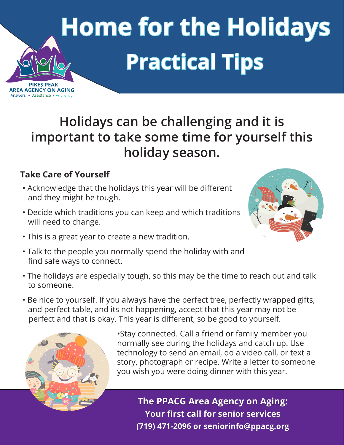## **Home for the Holidays Practical Tips**

**Holidays can be challenging and it is important to take some time for yourself this holiday season.**

## **Take Care of Yourself**

**PIKES PEAK** AREA AGENCY ON AGING Answers • Assistance • Advocacy

- Acknowledge that the holidays this year will be different and they might be tough.
- Decide which traditions you can keep and which traditions will need to change.
- This is a great year to create a new tradition.
- Talk to the people you normally spend the holiday with and find safe ways to connect.
- The holidays are especially tough, so this may be the time to reach out and talk to someone.
- Be nice to yourself. If you always have the perfect tree, perfectly wrapped gifts, and perfect table, and its not happening, accept that this year may not be perfect and that is okay. This year is different, so be good to yourself.



•Stay connected. Call a friend or family member you normally see during the holidays and catch up. Use technology to send an email, do a video call, or text a story, photograph or recipe. Write a letter to someone you wish you were doing dinner with this year.

**The PPACG Area Agency on Aging: Your first call for senior services (719) 471-2096 or seniorinfo@ppacg.org**